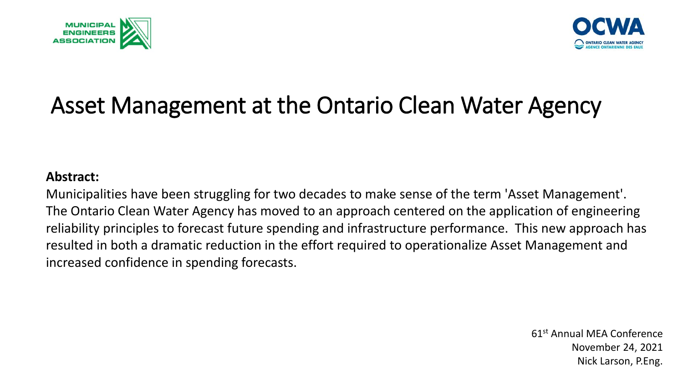



#### Asset Management at the Ontario Clean Water Agency

#### **Abstract:**

Municipalities have been struggling for two decades to make sense of the term 'Asset Management'. The Ontario Clean Water Agency has moved to an approach centered on the application of engineering reliability principles to forecast future spending and infrastructure performance. This new approach has resulted in both a dramatic reduction in the effort required to operationalize Asset Management and increased confidence in spending forecasts.

> 61st Annual MEA Conference November 24, 2021 Nick Larson, P.Eng.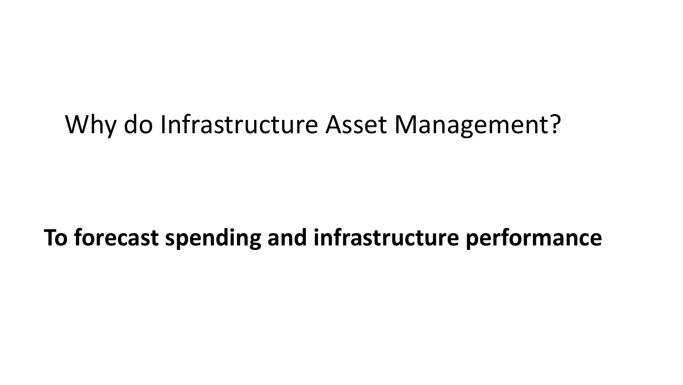#### Why do Infrastructure Asset Management?

#### **To forecast spending and infrastructure performance**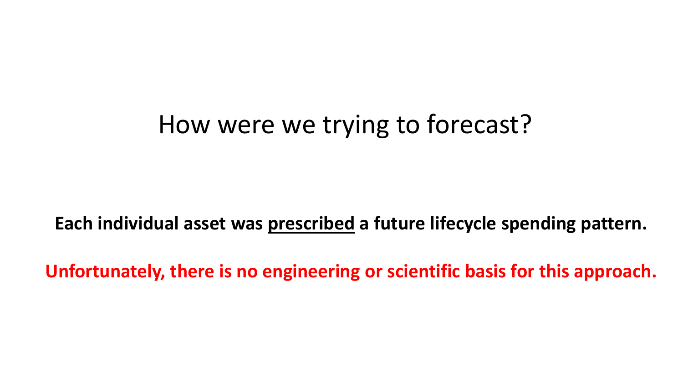#### How were we trying to forecast?

**Each individual asset was prescribed a future lifecycle spending pattern.**

**Unfortunately, there is no engineering or scientific basis for this approach.**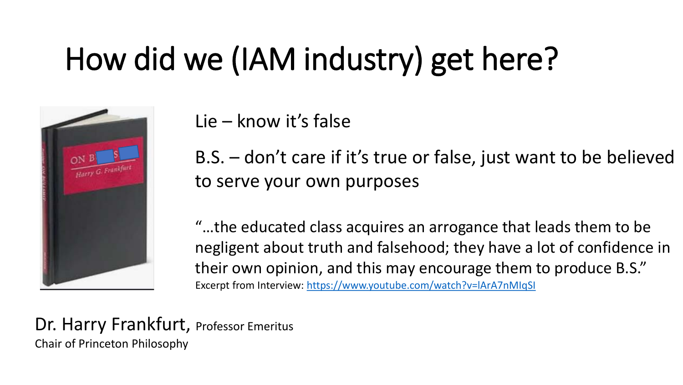### How did we (IAM industry) get here?



Lie – know it's false

B.S. – don't care if it's true or false, just want to be believed to serve your own purposes

"…the educated class acquires an arrogance that leads them to be negligent about truth and falsehood; they have a lot of confidence in their own opinion, and this may encourage them to produce B.S." Excerpt from Interview: <https://www.youtube.com/watch?v=lArA7nMIqSI>

Dr. Harry Frankfurt, Professor Emeritus Chair of Princeton Philosophy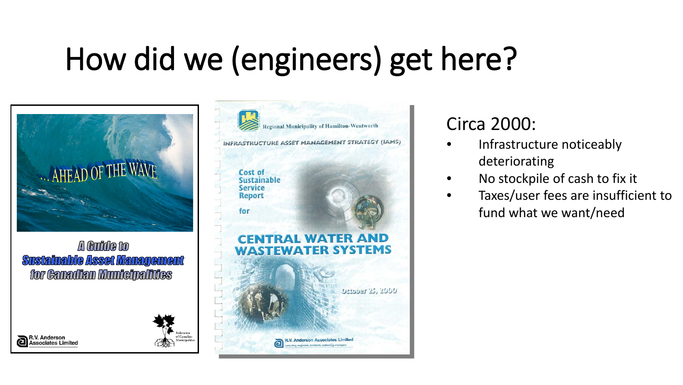### How did we (engineers) get here?



A Guide to **Sustainable Asset Management** for Canadian Municipalities

R.V. Anderson

**Associates Limited** 



#### Circa 2000:

- Infrastructure noticeably deteriorating
- No stockpile of cash to fix it
- Taxes/user fees are insufficient to fund what we want/need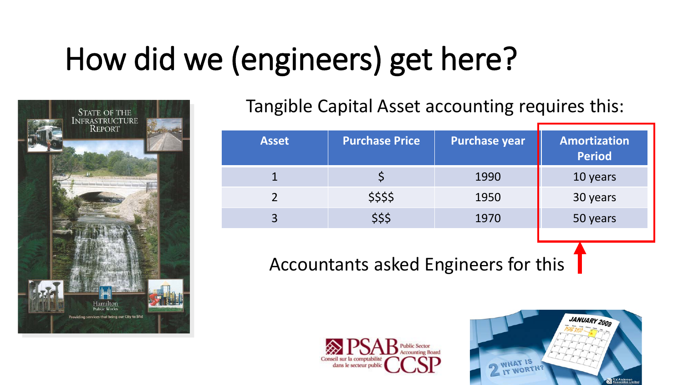## How did we (engineers) get here?



Tangible Capital Asset accounting requires this:

| <b>Asset</b> | <b>Purchase Price</b> | <b>Purchase year</b> | Amortization<br><b>Period</b> |
|--------------|-----------------------|----------------------|-------------------------------|
|              |                       | 1990                 | 10 years                      |
|              | \$\$\$\$              | 1950                 | 30 years                      |
|              | \$\$\$                | 1970                 | 50 years                      |
|              |                       |                      |                               |

Accountants asked Engineers for this



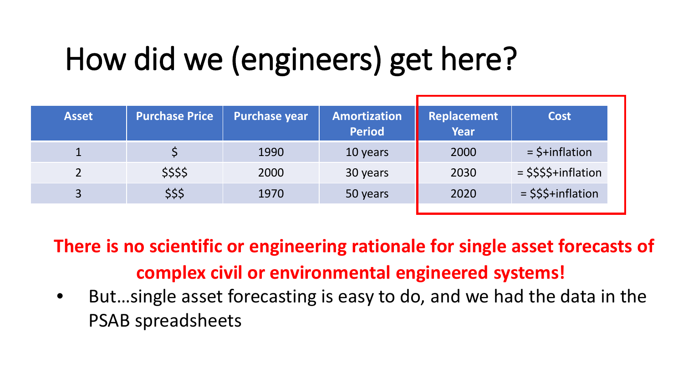### How did we (engineers) get here?

| <b>Asset</b>   | <b>Purchase Price</b> | <b>Purchase year</b> | <b>Amortization</b><br><b>Period</b> | Replacement<br><b>Year</b> | <b>Cost</b>            |
|----------------|-----------------------|----------------------|--------------------------------------|----------------------------|------------------------|
|                |                       | 1990                 | 10 years                             | 2000                       | $=$ \$+inflation       |
|                | \$\$\$\$              | 2000                 | 30 years                             | 2030                       | $=$ \$\$\$\$+inflation |
| $\overline{3}$ | \$\$\$                | 1970                 | 50 years                             | 2020                       | $=$ \$\$\$+inflation   |
|                |                       |                      |                                      |                            |                        |

**There is no scientific or engineering rationale for single asset forecasts of complex civil or environmental engineered systems!**

• But…single asset forecasting is easy to do, and we had the data in the PSAB spreadsheets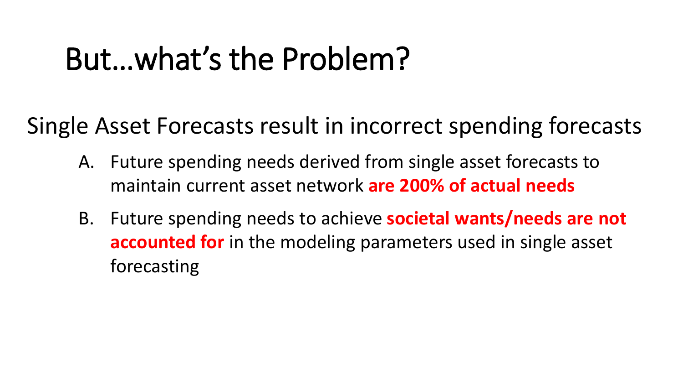### But…what's the Problem?

Single Asset Forecasts result in incorrect spending forecasts

- A. Future spending needs derived from single asset forecasts to maintain current asset network **are 200% of actual needs**
- B. Future spending needs to achieve **societal wants/needs are not accounted for** in the modeling parameters used in single asset forecasting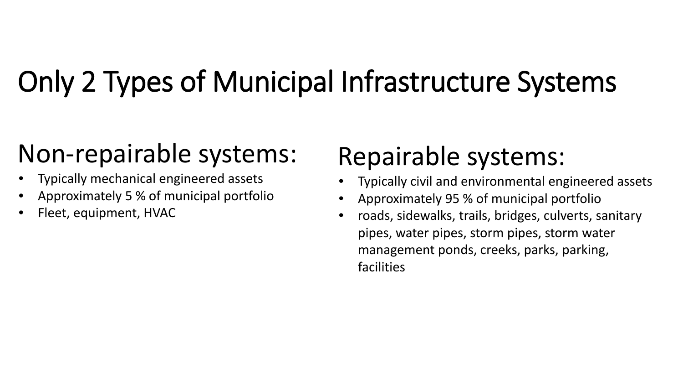### Only 2 Types of Municipal Infrastructure Systems

#### Non-repairable systems:

- Typically mechanical engineered assets
- Approximately 5 % of municipal portfolio
- Fleet, equipment, HVAC

#### Repairable systems:

- Typically civil and environmental engineered assets
- Approximately 95 % of municipal portfolio
- roads, sidewalks, trails, bridges, culverts, sanitary pipes, water pipes, storm pipes, storm water management ponds, creeks, parks, parking, facilities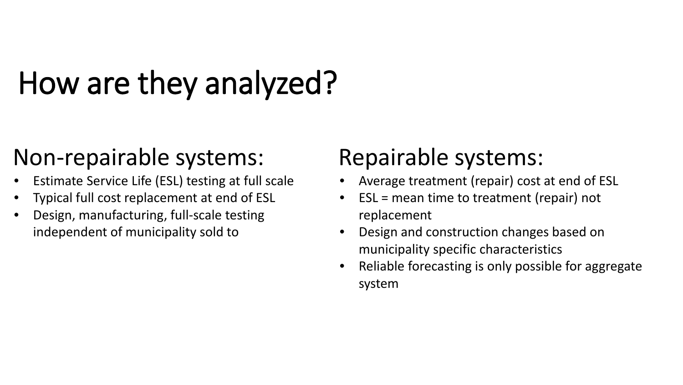### How are they analyzed?

#### Non-repairable systems:

- Estimate Service Life (ESL) testing at full scale
- Typical full cost replacement at end of ESL
- Design, manufacturing, full-scale testing independent of municipality sold to

#### Repairable systems:

- Average treatment (repair) cost at end of ESL
- ESL = mean time to treatment (repair) not replacement
- Design and construction changes based on municipality specific characteristics
- Reliable forecasting is only possible for aggregate system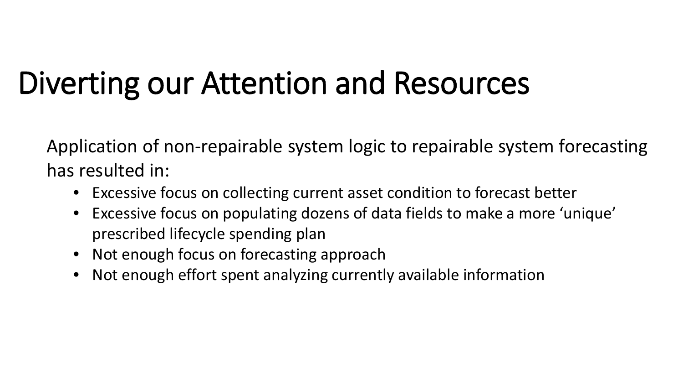### Diverting our Attention and Resources

Application of non-repairable system logic to repairable system forecasting has resulted in:

- Excessive focus on collecting current asset condition to forecast better
- Excessive focus on populating dozens of data fields to make a more 'unique' prescribed lifecycle spending plan
- Not enough focus on forecasting approach
- Not enough effort spent analyzing currently available information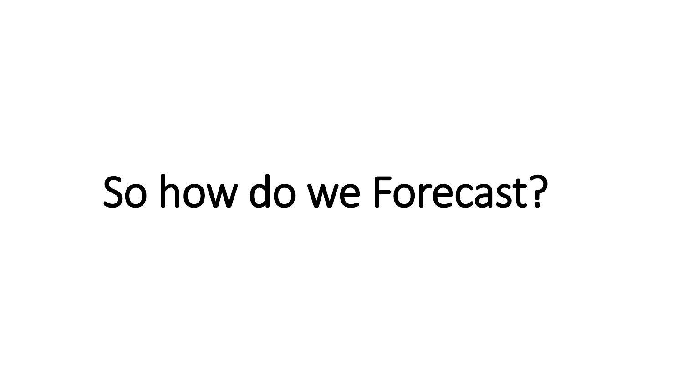# So how do we Forecast?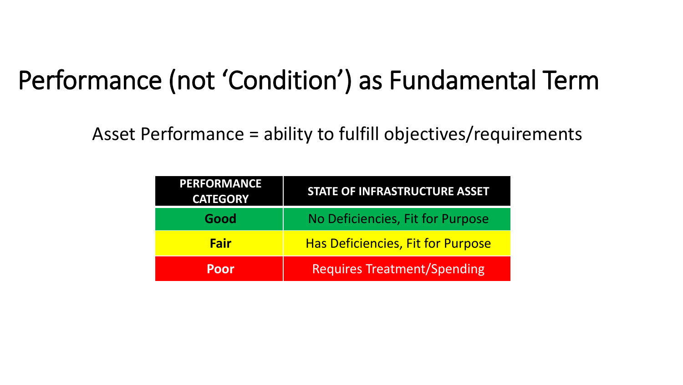#### Performance (not 'Condition') as Fundamental Term

Asset Performance = ability to fulfill objectives/requirements

| <b>PERFORMANCE</b><br><b>CATEGORY</b> | <b>STATE OF INFRASTRUCTURE ASSET</b>     |  |
|---------------------------------------|------------------------------------------|--|
| Good                                  | No Deficiencies, Fit for Purpose         |  |
| <b>Fair</b>                           | <b>Has Deficiencies, Fit for Purpose</b> |  |
| Poor                                  | <b>Requires Treatment/Spending</b>       |  |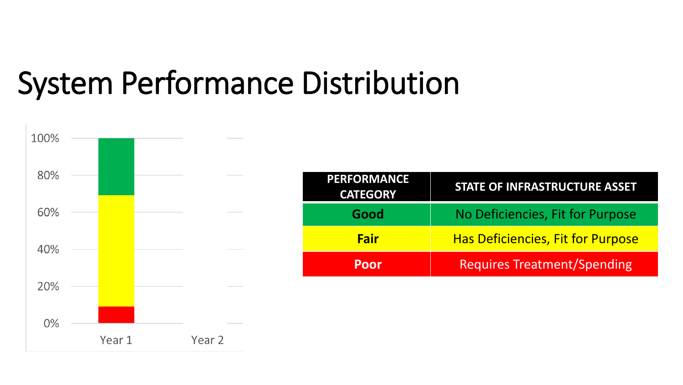### System Performance Distribution

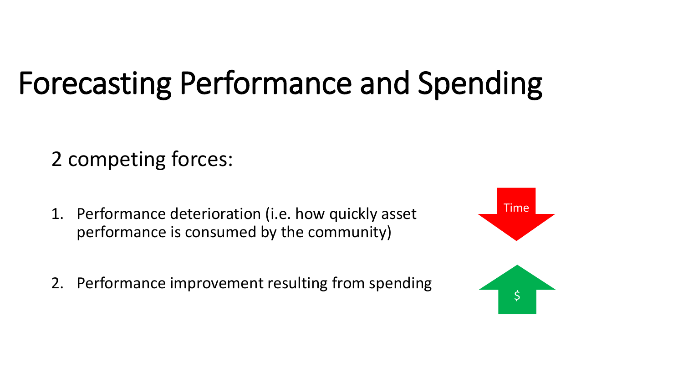#### 2 competing forces:

- 1. Performance deterioration (i.e. how quickly asset performance is consumed by the community)
- 2. Performance improvement resulting from spending

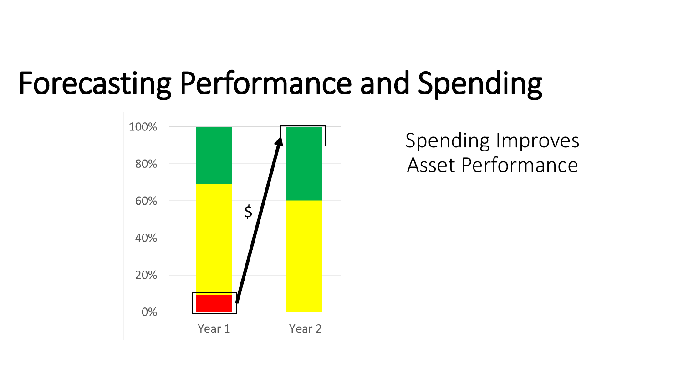

Spending Improves Asset Performance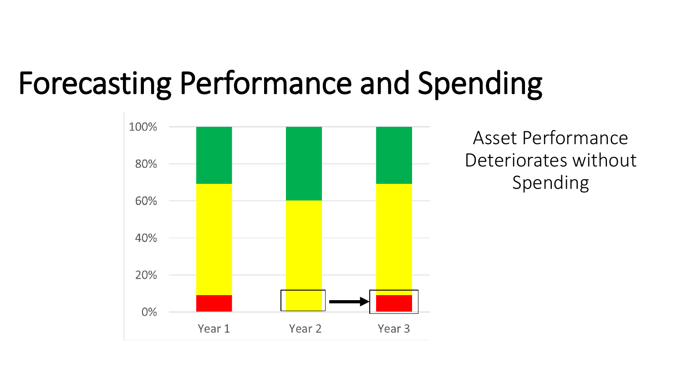

Asset Performance Deteriorates without Spending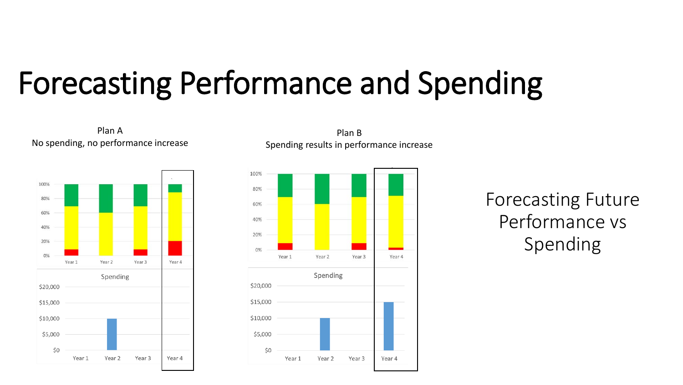

Plan A No spending, no performance increase

Plan B Spending results in performance increase



Forecasting Future Performance vs Spending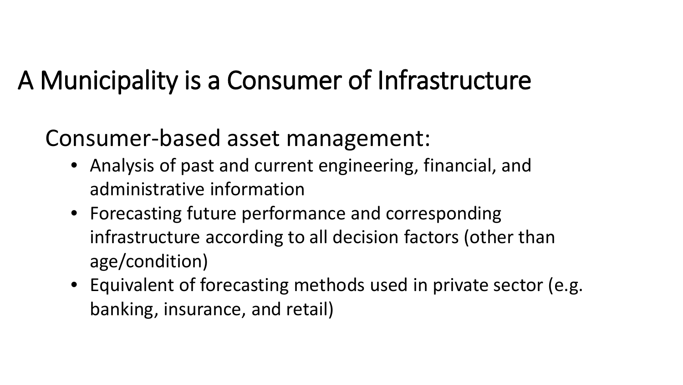#### A Municipality is a Consumer of Infrastructure

#### Consumer-based asset management:

- Analysis of past and current engineering, financial, and administrative information
- Forecasting future performance and corresponding infrastructure according to all decision factors (other than age/condition)
- Equivalent of forecasting methods used in private sector (e.g. banking, insurance, and retail)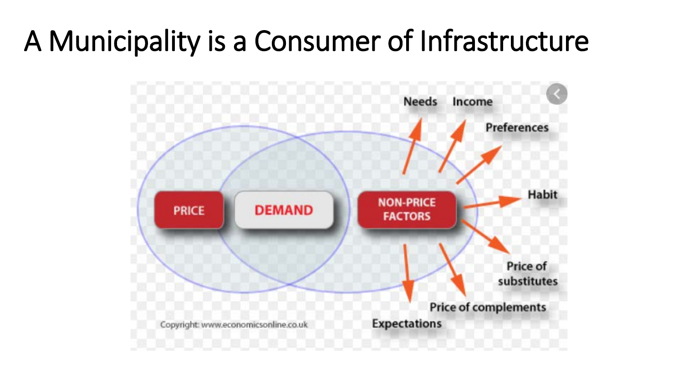#### A Municipality is a Consumer of Infrastructure

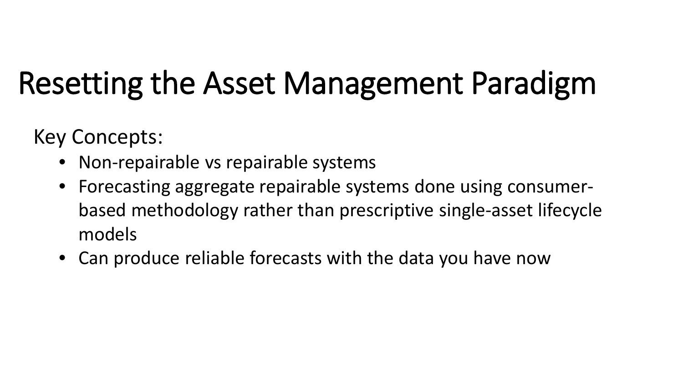### Resetting the Asset Management Paradigm

Key Concepts:

- Non-repairable vs repairable systems
- Forecasting aggregate repairable systems done using consumerbased methodology rather than prescriptive single-asset lifecycle models
- Can produce reliable forecasts with the data you have now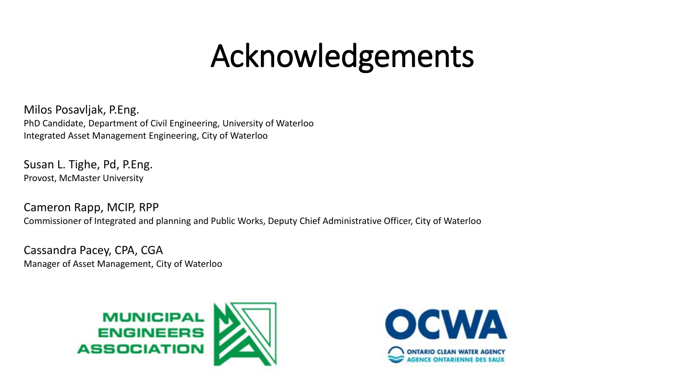### Acknowledgements

Milos Posavljak, P.Eng. PhD Candidate, Department of Civil Engineering, University of Waterloo Integrated Asset Management Engineering, City of Waterloo

Susan L. Tighe, Pd, P.Eng. Provost, McMaster University

Cameron Rapp, MCIP, RPP Commissioner of Integrated and planning and Public Works, Deputy Chief Administrative Officer, City of Waterloo

Cassandra Pacey, CPA, CGA Manager of Asset Management, City of Waterloo